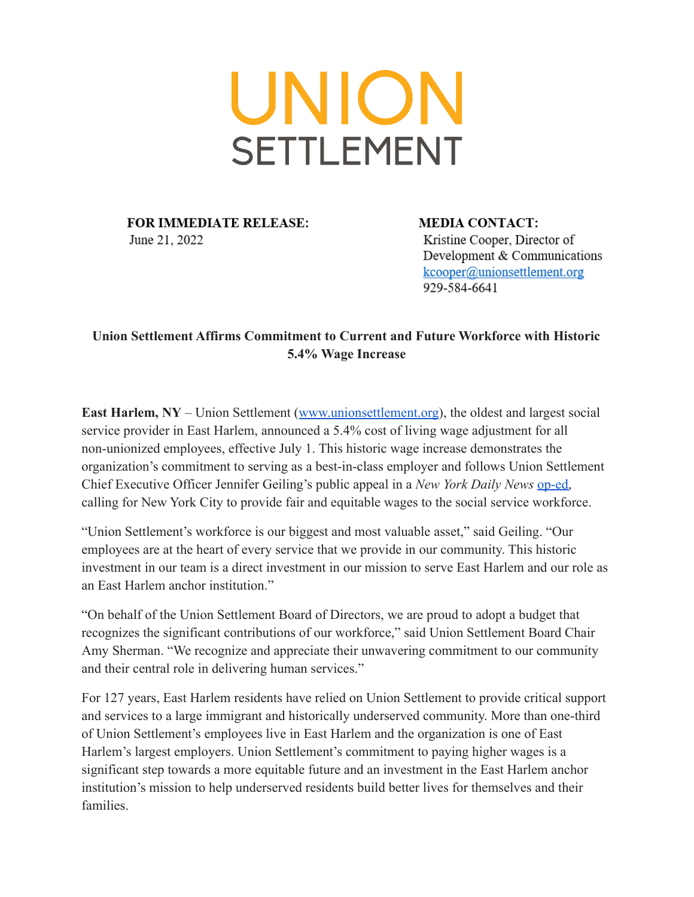## UNION **SETTLEMENT**

**FOR IMMEDIATE RELEASE:** June 21, 2022

**MEDIA CONTACT:** Kristine Cooper, Director of Development & Communications kcooper@unionsettlement.org 929-584-6641

## **Union Settlement Affirms Commitment to Current and Future Workforce with Historic 5.4% Wage Increase**

**East Harlem, NY** – Union Settlement ([www.unionsettlement.org](http://www.unionsettlement.org/)), the oldest and largest social service provider in East Harlem, announced a 5.4% cost of living wage adjustment for all non-unionized employees, effective July 1. This historic wage increase demonstrates the organization's commitment to serving as a best-in-class employer and follows Union Settlement Chief Executive Officer Jennifer Geiling's public appeal in a *New York Daily News* [op-ed,](https://www.nydailynews.com/opinion/ny-oped-the-high-cost-of-underpaying-social-service-workers-20220607-55y573xdlfgefcbmahsnrtsz2u-story.html) calling for New York City to provide fair and equitable wages to the social service workforce.

"Union Settlement's workforce is our biggest and most valuable asset," said Geiling. "Our employees are at the heart of every service that we provide in our community. This historic investment in our team is a direct investment in our mission to serve East Harlem and our role as an East Harlem anchor institution."

"On behalf of the Union Settlement Board of Directors, we are proud to adopt a budget that recognizes the significant contributions of our workforce," said Union Settlement Board Chair Amy Sherman. "We recognize and appreciate their unwavering commitment to our community and their central role in delivering human services."

For 127 years, East Harlem residents have relied on Union Settlement to provide critical support and services to a large immigrant and historically underserved community. More than one-third of Union Settlement's employees live in East Harlem and the organization is one of East Harlem's largest employers. Union Settlement's commitment to paying higher wages is a significant step towards a more equitable future and an investment in the East Harlem anchor institution's mission to help underserved residents build better lives for themselves and their families.